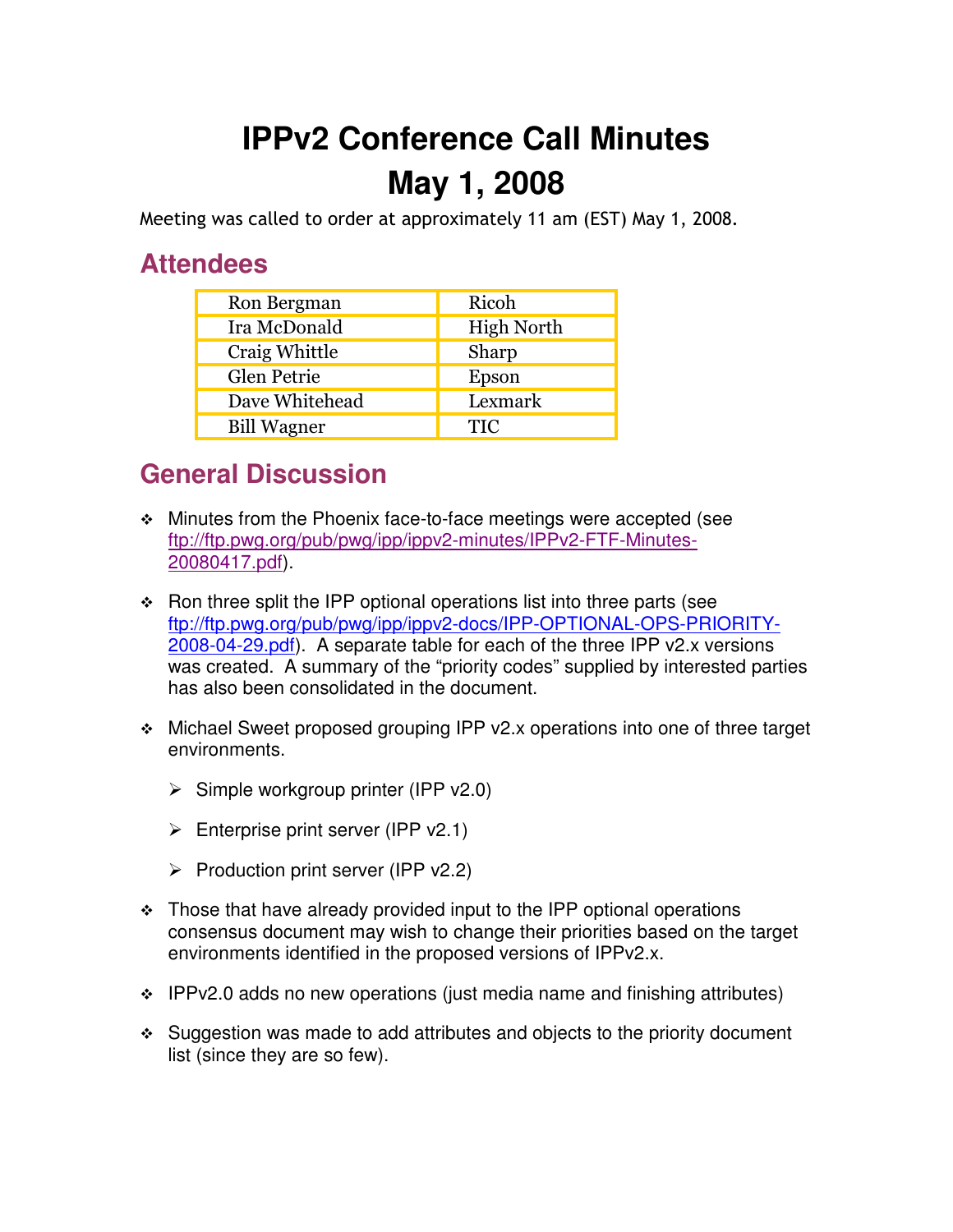## **IPPv2 Conference Call Minutes May 1, 2008**

Meeting was called to order at approximately 11 am (EST) May 1, 2008.

## **Attendees**

| Ron Bergman        | Ricoh             |
|--------------------|-------------------|
| Ira McDonald       | <b>High North</b> |
| Craig Whittle      | Sharp             |
| Glen Petrie        | Epson             |
| Dave Whitehead     | Lexmark           |
| <b>Bill Wagner</b> | <b>TIC</b>        |

## **General Discussion**

- Minutes from the Phoenix face-to-face meetings were accepted (see ftp://ftp.pwg.org/pub/pwg/ipp/ippv2-minutes/IPPv2-FTF-Minutes-20080417.pdf).
- $\cdot$  Ron three split the IPP optional operations list into three parts (see ftp://ftp.pwg.org/pub/pwg/ipp/ippv2-docs/IPP-OPTIONAL-OPS-PRIORITY-2008-04-29.pdf). A separate table for each of the three IPP v2.x versions was created. A summary of the "priority codes" supplied by interested parties has also been consolidated in the document.
- Michael Sweet proposed grouping IPP v2.x operations into one of three target environments.
	- > Simple workgroup printer (IPP v2.0)
	- > Enterprise print server (IPP v2.1)
	- Production print server (IPP v2.2)
- $\cdot$  Those that have already provided input to the IPP optional operations consensus document may wish to change their priorities based on the target environments identified in the proposed versions of IPPv2.x.
- $\div$  IPPv2.0 adds no new operations (just media name and finishing attributes)
- Suggestion was made to add attributes and objects to the priority document list (since they are so few).